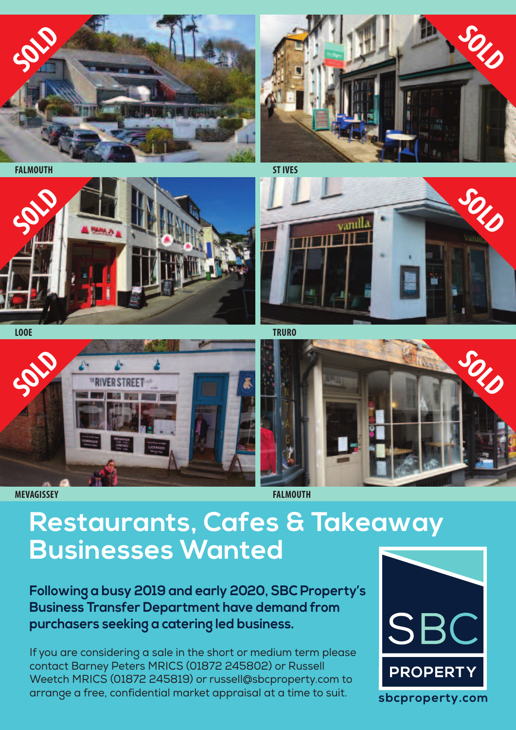

**FALMOUTH STIVES**











## **Restaurants, Cafes & Takeaway Businesses Wanted**

**Following a busy 2019 and early 2020, SBC Property's Business Transfer Department have demand from purchasers seeking a catering led business.**

If you are considering a sale in the short or medium term please contact Barney Peters MRICS (01872 245802) or Russell Weetch MRICS (01872 245819) or russell@sbcproperty.com to arrange a free, confidential market appraisal at a time to suit.